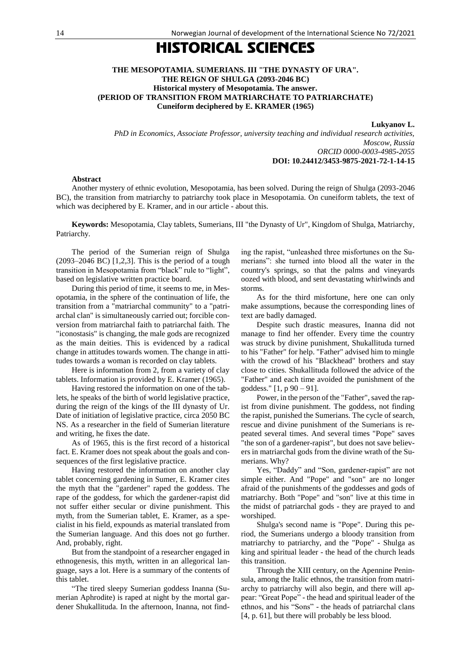## HISTORICAL SCIENCES

## **THE MESOPOTAMIA. SUMERIANS. III "THE DYNASTY OF URA". THE REIGN OF SHULGA (2093-2046 BC) Historical mystery of Mesopotamia. The answer. (PERIOD OF TRANSITION FROM MATRIARCHATE TO PATRIARCHATE) Cuneiform deciphered by E. KRAMER (1965)**

**Lukyanov L.** 

*PhD in Economics, Associate Professor, university teaching and individual research activities, Moscow, Russia ORCID 0000-0003-4985-2055* **DOI: 10.24412/3453-9875-2021-72-1-14-15**

## **Abstract**

Another mystery of ethnic evolution, Mesopotamia, has been solved. During the reign of Shulga (2093-2046 BC), the transition from matriarchy to patriarchy took place in Mesopotamia. On cuneiform tablets, the text of which was deciphered by E. Kramer, and in our article - about this.

**Keywords:** Mesopotamia, Clay tablets, Sumerians, III "the Dynasty of Ur", Kingdom of Shulga, Matriarchy, Patriarchy.

The period of the Sumerian reign of Shulga (2093–2046 BC) [1,2,3]. This is the period of a tough transition in Mesopotamia from "black" rule to "light", based on legislative written practice board.

During this period of time, it seems to me, in Mesopotamia, in the sphere of the continuation of life, the transition from a "matriarchal community" to a "patriarchal clan" is simultaneously carried out; forcible conversion from matriarchal faith to patriarchal faith. The "iconostasis" is changing, the male gods are recognized as the main deities. This is evidenced by a radical change in attitudes towards women. The change in attitudes towards a woman is recorded on clay tablets.

Here is information from 2, from a variety of clay tablets. Information is provided by E. Kramer (1965).

Having restored the information on one of the tablets, he speaks of the birth of world legislative practice, during the reign of the kings of the III dynasty of Ur. Date of initiation of legislative practice, circa 2050 BC NS. As a researcher in the field of Sumerian literature and writing, he fixes the date.

As of 1965, this is the first record of a historical fact. E. Kramer does not speak about the goals and consequences of the first legislative practice.

Having restored the information on another clay tablet concerning gardening in Sumer, E. Kramer cites the myth that the "gardener" raped the goddess. The rape of the goddess, for which the gardener-rapist did not suffer either secular or divine punishment. This myth, from the Sumerian tablet, E. Kramer, as a specialist in his field, expounds as material translated from the Sumerian language. And this does not go further. And, probably, right.

But from the standpoint of a researcher engaged in ethnogenesis, this myth, written in an allegorical language, says a lot. Here is a summary of the contents of this tablet.

"The tired sleepy Sumerian goddess Inanna (Sumerian Aphrodite) is raped at night by the mortal gardener Shukallituda. In the afternoon, Inanna, not finding the rapist, "unleashed three misfortunes on the Sumerians": she turned into blood all the water in the country's springs, so that the palms and vineyards oozed with blood, and sent devastating whirlwinds and storms.

As for the third misfortune, here one can only make assumptions, because the corresponding lines of text are badly damaged.

Despite such drastic measures, Inanna did not manage to find her offender. Every time the country was struck by divine punishment, Shukallituda turned to his "Father" for help. "Father" advised him to mingle with the crowd of his "Blackhead" brothers and stay close to cities. Shukallituda followed the advice of the "Father" and each time avoided the punishment of the goddess."  $[1, p 90 - 91]$ .

Power, in the person of the "Father", saved the rapist from divine punishment. The goddess, not finding the rapist, punished the Sumerians. The cycle of search, rescue and divine punishment of the Sumerians is repeated several times. And several times "Pope" saves "the son of a gardener-rapist", but does not save believers in matriarchal gods from the divine wrath of the Sumerians. Why?

Yes, "Daddy" and "Son, gardener-rapist" are not simple either. And "Pope" and "son" are no longer afraid of the punishments of the goddesses and gods of matriarchy. Both "Pope" and "son" live at this time in the midst of patriarchal gods - they are prayed to and worshiped.

Shulga's second name is "Pope". During this period, the Sumerians undergo a bloody transition from matriarchy to patriarchy, and the "Pope" - Shulga as king and spiritual leader - the head of the church leads this transition.

Through the XIII century, on the Apennine Peninsula, among the Italic ethnos, the transition from matriarchy to patriarchy will also begin, and there will appear: "Great Pope" - the head and spiritual leader of the ethnos, and his "Sons" - the heads of patriarchal clans [4, p. 61], but there will probably be less blood.